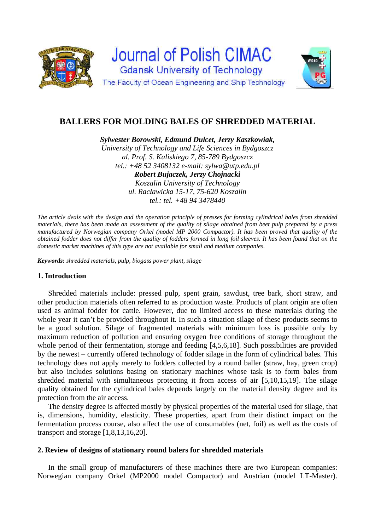

# **BALLERS FOR MOLDING BALES OF SHREDDED MATERIAL**

*Sylwester Borowski, Edmund Dulcet, Jerzy Kaszkowiak,* 

*University of Technology and Life Sciences in Bydgoszcz al. Prof. S. Kaliskiego 7, 85-789 Bydgoszcz tel.: +48 52 3408132 e-mail: sylwa@utp.edu.pl Robert Bujaczek, Jerzy Chojnacki Koszalin University of Technology ul. Racławicka 15-17, 75-620 Koszalin tel.: tel. +48 94 3478440* 

*The article deals with the design and the operation principle of presses for forming cylindrical bales from shredded materials, there has been made an assessment of the quality of silage obtained from beet pulp prepared by a press manufactured by Norwegian company Orkel (model MP 2000 Compactor). It has been proved that quality of the obtained fodder does not differ from the quality of fodders formed in long foil sleeves. It has been found that on the domestic market machines of this type are not available for small and medium companies.* 

*Keywords: shredded materials, pulp, biogass power plant, silage* 

# **1. Introduction**

Shredded materials include: pressed pulp, spent grain, sawdust, tree bark, short straw, and other production materials often referred to as production waste. Products of plant origin are often used as animal fodder for cattle. However, due to limited access to these materials during the whole year it can't be provided throughout it. In such a situation silage of these products seems to be a good solution. Silage of fragmented materials with minimum loss is possible only by maximum reduction of pollution and ensuring oxygen free conditions of storage throughout the whole period of their fermentation, storage and feeding [4,5,6,18]. Such possibilities are provided by the newest – currently offered technology of fodder silage in the form of cylindrical bales. This technology does not apply merely to fodders collected by a round baller (straw, hay, green crop) but also includes solutions basing on stationary machines whose task is to form bales from shredded material with simultaneous protecting it from access of air [5,10,15,19]. The silage quality obtained for the cylindrical bales depends largely on the material density degree and its protection from the air access.

The density degree is affected mostly by physical properties of the material used for silage, that is, dimensions, humidity, elasticity. These properties, apart from their distinct impact on the fermentation process course, also affect the use of consumables (net, foil) as well as the costs of transport and storage [1,8,13,16,20].

# **2. Review of designs of stationary round balers for shredded materials**

In the small group of manufacturers of these machines there are two European companies: Norwegian company Orkel (MP2000 model Compactor) and Austrian (model LT-Master).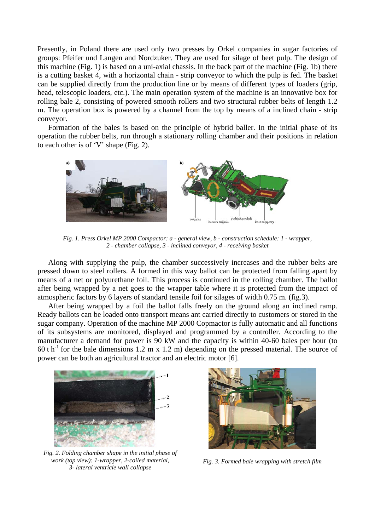Presently, in Poland there are used only two presses by Orkel companies in sugar factories of groups: Pfeifer und Langen and Nordzuker. They are used for silage of beet pulp. The design of this machine (Fig. 1) is based on a uni-axial chassis. In the back part of the machine (Fig. 1b) there is a cutting basket 4, with a horizontal chain - strip conveyor to which the pulp is fed. The basket can be supplied directly from the production line or by means of different types of loaders (grip, head, telescopic loaders, etc.). The main operation system of the machine is an innovative box for rolling bale 2, consisting of powered smooth rollers and two structural rubber belts of length 1.2 m. The operation box is powered by a channel from the top by means of a inclined chain - strip conveyor.

Formation of the bales is based on the principle of hybrid baller. In the initial phase of its operation the rubber belts, run through a stationary rolling chamber and their positions in relation to each other is of 'V' shape (Fig. 2).



*Fig. 1. Press Orkel MP 2000 Compactor: a - general view, b - construction schedule: 1 - wrapper, 2 - chamber collapse, 3 - inclined conveyor, 4 - receiving basket* 

Along with supplying the pulp, the chamber successively increases and the rubber belts are pressed down to steel rollers. A formed in this way ballot can be protected from falling apart by means of a net or polyurethane foil. This process is continued in the rolling chamber. The ballot after being wrapped by a net goes to the wrapper table where it is protected from the impact of atmospheric factors by 6 layers of standard tensile foil for silages of width 0.75 m. (fig.3).

After being wrapped by a foil the ballot falls freely on the ground along an inclined ramp. Ready ballots can be loaded onto transport means ant carried directly to customers or stored in the sugar company. Operation of the machine MP 2000 Copmactor is fully automatic and all functions of its subsystems are monitored, displayed and programmed by a controller. According to the manufacturer a demand for power is 90 kW and the capacity is within 40-60 bales per hour (to 60 t h<sup>-1</sup> for the bale dimensions 1.2 m x 1.2 m) depending on the pressed material. The source of power can be both an agricultural tractor and an electric motor [6].



*Fig. 2. Folding chamber shape in the initial phase of work (top view): 1-wrapper, 2-coiled material, 3- lateral ventricle wall collapse*



*Fig. 3. Formed bale wrapping with stretch film*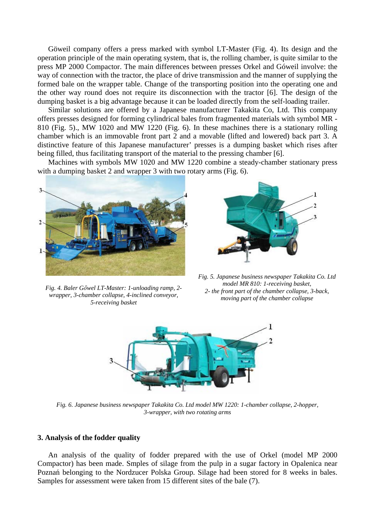Göweil company offers a press marked with symbol LT-Master (Fig. 4). Its design and the operation principle of the main operating system, that is, the rolling chamber, is quite similar to the press MP 2000 Compactor. The main differences between presses Orkel and Góweil involve: the way of connection with the tractor, the place of drive transmission and the manner of supplying the formed bale on the wrapper table. Change of the transporting position into the operating one and the other way round does not require its disconnection with the tractor [6]. The design of the dumping basket is a big advantage because it can be loaded directly from the self-loading trailer.

Similar solutions are offered by a Japanese manufacturer Takakita Co, Ltd. This company offers presses designed for forming cylindrical bales from fragmented materials with symbol MR - 810 (Fig. 5)., MW 1020 and MW 1220 (Fig. 6). In these machines there is a stationary rolling chamber which is an immovable front part 2 and a movable (lifted and lowered) back part 3. A distinctive feature of this Japanese manufacturer' presses is a dumping basket which rises after being filled, thus facilitating transport of the material to the pressing chamber [6].

Machines with symbols MW 1020 and MW 1220 combine a steady-chamber stationary press with a dumping basket 2 and wrapper 3 with two rotary arms (Fig. 6).





*Fig. 4. Baler Gőwel LT-Master: 1-unloading ramp, 2 wrapper, 3-chamber collapse, 4-inclined conveyor, 5-receiving basket*

*Fig. 5. Japanese business newspaper Takakita Co. Ltd model MR 810: 1-receiving basket, 2- the front part of the chamber collapse, 3-back, moving part of the chamber collapse*



*Fig. 6. Japanese business newspaper Takakita Co. Ltd model MW 1220: 1-chamber collapse, 2-hopper, 3-wrapper, with two rotating arms* 

# **3. Analysis of the fodder quality**

An analysis of the quality of fodder prepared with the use of Orkel (model MP 2000 Compactor) has been made. Smples of silage from the pulp in a sugar factory in Opalenica near Poznań belonging to the Nordzucer Polska Group. Silage had been stored for 8 weeks in bales. Samples for assessment were taken from 15 different sites of the bale (7).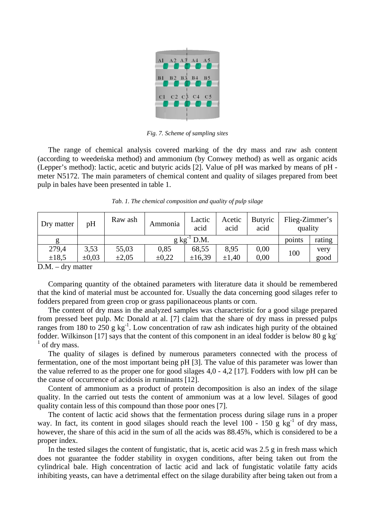

*Fig. 7. Scheme of sampling sites* 

The range of chemical analysis covered marking of the dry mass and raw ash content (according to weedeńska method) and ammonium (by Conwey method) as well as organic acids (Lepper's method): lactic, acetic and butyric acids [2]. Value of pH was marked by means of pH meter N5172. The main parameters of chemical content and quality of silages prepared from beet pulp in bales have been presented in table 1.

*Tab. 1. The chemical composition and quality of pulp silage* 

| Dry matter   | pH         | Raw ash                  | Ammonia    | Lactic<br>acid | Acetic<br>acid | <b>Butyric</b><br>acid | Flieg-Zimmer's<br>quality |        |
|--------------|------------|--------------------------|------------|----------------|----------------|------------------------|---------------------------|--------|
|              |            | $g \text{ kg}^{-1}$ D.M. |            |                |                |                        | points                    | rating |
| 279,4        | 3,53       | 55,03                    | 0,85       | 68,55          | 8,95           | 0,00                   | 100                       | very   |
| $\pm 18.5$   | $\pm 0.03$ | $\pm 2.05$               | $\pm 0.22$ | ±16,39         | $\pm 1.40$     | 0,00                   |                           | good   |
| $\mathbf{r}$ | .          |                          |            |                |                |                        |                           |        |

D.M. – dry matter

Comparing quantity of the obtained parameters with literature data it should be remembered that the kind of material must be accounted for. Usually the data concerning good silages refer to fodders prepared from green crop or grass papilionaceous plants or corn.

The content of dry mass in the analyzed samples was characteristic for a good silage prepared from pressed beet pulp. Mc Donald at al. [7] claim that the share of dry mass in pressed pulps ranges from 180 to 250 g  $kg^{-1}$ . Low concentration of raw ash indicates high purity of the obtained fodder. Wilkinson [17] says that the content of this component in an ideal fodder is below 80 g kg-1 of dry mass.

The quality of silages is defined by numerous parameters connected with the process of fermentation, one of the most important being pH [3]. The value of this parameter was lower than the value referred to as the proper one for good silages 4,0 - 4,2 [17]. Fodders with low pH can be the cause of occurrence of acidosis in ruminants [12].

Content of ammonium as a product of protein decomposition is also an index of the silage quality. In the carried out tests the content of ammonium was at a low level. Silages of good quality contain less of this compound than those poor ones [7].

The content of lactic acid shows that the fermentation process during silage runs in a proper way. In fact, its content in good silages should reach the level  $100 - 150$  g kg<sup>-1</sup> of dry mass, however, the share of this acid in the sum of all the acids was 88.45%, which is considered to be a proper index.

In the tested silages the content of fungistatic, that is, acetic acid was 2.5 g in fresh mass which does not guarantee the fodder stability in oxygen conditions, after being taken out from the cylindrical bale. High concentration of lactic acid and lack of fungistatic volatile fatty acids inhibiting yeasts, can have a detrimental effect on the silage durability after being taken out from a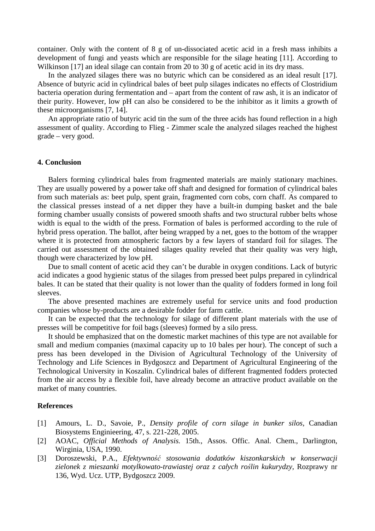container. Only with the content of 8 g of un-dissociated acetic acid in a fresh mass inhibits a development of fungi and yeasts which are responsible for the silage heating [11]. According to Wilkinson [17] an ideal silage can contain from 20 to 30 g of acetic acid in its dry mass.

In the analyzed silages there was no butyric which can be considered as an ideal result [17]. Absence of butyric acid in cylindrical bales of beet pulp silages indicates no effects of Clostridium bacteria operation during fermentation and – apart from the content of raw ash, it is an indicator of their purity. However, low pH can also be considered to be the inhibitor as it limits a growth of these microorganisms [7, 14].

An appropriate ratio of butyric acid tin the sum of the three acids has found reflection in a high assessment of quality. According to Flieg - Zimmer scale the analyzed silages reached the highest grade – very good.

## **4. Conclusion**

Balers forming cylindrical bales from fragmented materials are mainly stationary machines. They are usually powered by a power take off shaft and designed for formation of cylindrical bales from such materials as: beet pulp, spent grain, fragmented corn cobs, corn chaff. As compared to the classical presses instead of a net dipper they have a built-in dumping basket and the bale forming chamber usually consists of powered smooth shafts and two structural rubber belts whose width is equal to the width of the press. Formation of bales is performed according to the rule of hybrid press operation. The ballot, after being wrapped by a net, goes to the bottom of the wrapper where it is protected from atmospheric factors by a few layers of standard foil for silages. The carried out assessment of the obtained silages quality reveled that their quality was very high, though were characterized by low pH.

Due to small content of acetic acid they can't be durable in oxygen conditions. Lack of butyric acid indicates a good hygienic status of the silages from pressed beet pulps prepared in cylindrical bales. It can be stated that their quality is not lower than the quality of fodders formed in long foil sleeves.

The above presented machines are extremely useful for service units and food production companies whose by-products are a desirable fodder for farm cattle.

It can be expected that the technology for silage of different plant materials with the use of presses will be competitive for foil bags (sleeves) formed by a silo press.

It should be emphasized that on the domestic market machines of this type are not available for small and medium companies (maximal capacity up to 10 bales per hour). The concept of such a press has been developed in the Division of Agricultural Technology of the University of Technology and Life Sciences in Bydgoszcz and Department of Agricultural Engineering of the Technological University in Koszalin. Cylindrical bales of different fragmented fodders protected from the air access by a flexible foil, have already become an attractive product available on the market of many countries.

# **References**

- [1] Amours, L. D., Savoie, P., *Density profile of corn silage in bunker silos,* Canadian Biosystems Enginieering, 47, s. 221-228, 2005.
- [2] AOAC, *Official Methods of Analysis.* 15th., Assos. Offic. Anal. Chem., Darlington, Wirginia, USA, 1990.
- [3] Doroszewski, P.A., *Efektywność stosowania dodatków kiszonkarskich w konserwacji zielonek z mieszanki motylkowato-trawiastej oraz z całych roślin kukurydzy,* Rozprawy nr 136, Wyd. Ucz. UTP, Bydgoszcz 2009.